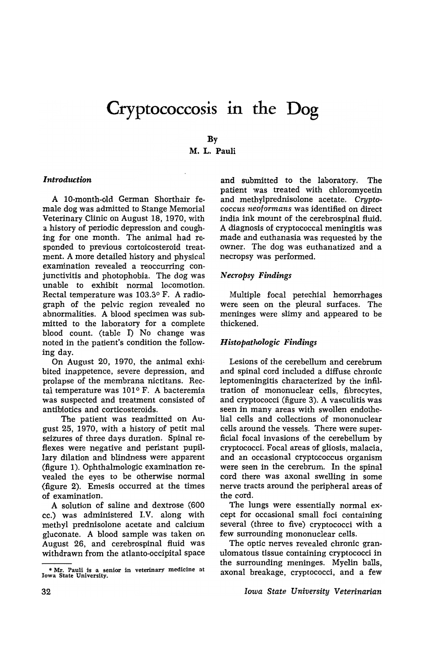# **Cryptococcosis in the Dog**

## By M. L. Pauli

#### *Introduction*

A 10-month-old German Shorthair female dog was admitted to Stange Memorial Veterinary Clinic on August 18, 1970, with a history of periodic depression and coughing for one month. The animal had responded to previous cortoicosteroid treatment. A more detailed history and physical examination revealed a reoccurring conjunctivitis and photophobia. The dog was unable to exhibit normal locomotion. Rectal temperature was  $103.3^{\circ}$  F. A radiograph of the pelvic region revealed no abnormalities. A blood specimen was submitted to the laboratory for a complete blood count. (table I) No change was noted in the patient's condition the following day.

On August 20, 1970, the animal exhibited inappetence, severe depression, and prolapse of the membrana nictitans. Rectal temperature was  $101^{\circ}$  F. A bacteremia was suspected and treatment consisted of antibiotics and corticosteroids.

The patient was readmitted on August 25, 1970, with a history of petit mal seizures of three days duration. Spinal re flexes were negative and peristant pupillary dilation and blindness were apparent (figure 1). Ophthalmologic examination revealed the eyes to be otherwise normal (figure 2). Emesis occurred at the times of examination.

A solution of saline and dextrose (600 cc.) was administered I.V. along with methyl prednisolone acetate and calcium gluconate. A blood sample was taken on August 26, and cerebrospinal fluid was withdrawn from the atlanto-occipital space

and submitted to the laboratory. The patient was treated with chloromycetin and methylprednisolone acetate. *Cryptococcus neoformans* was identified on direct india ink mount of the cerebrospinal fluid. A diagnosis of cryptococcal meningitis was made and euthanasia was requested by the owner. The dog was euthanatized and a necropsy was performed.

#### *Necropsy Findings*

Multiple focal petechial hemorrhages were seen on the pleural surfaces. The meninges were slimy and appeared to be thickened.

### H *istopatlwlogic Findings*

Lesions of the cerebellum and cerebrum and spinal cord included a diffuse chronic leptomeningitis characterized by the infiltration of mononuclear cells, fibrocytes, and cryptococci (figure 3). A vasculitis was seen in many areas with swollen endothelial cells and collections of mononuclear cells around the vessels. There were superficial focal invasions of the cerebellum by cryptococci. Focal areas of gliosis, malacia, and an occasional cryptococcus organism were seen in the cerebrum. In the spinal cord there was axonal swelling in some nerve tracts around the peripheral areas of the cord.

The lungs were essentially normal except for occasional small foci containing several (three to five) cryptococci with a few surrounding mononuclear cells.

The optic nerves revealed chronic granulomatous tissue containing cryptococci in the surrounding meninges. Myelin balls, axonal breakage, cryptococci, and a few

*Iowa State University Veterinarian* 

<sup>•</sup> Mr. Pauli is 'a senior in veterinary medicine at Iowa State University.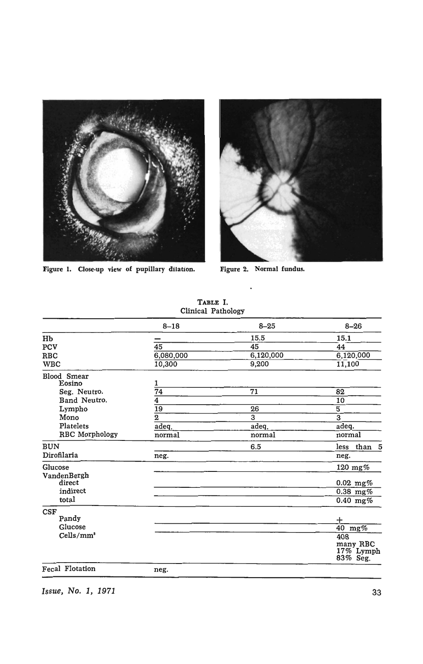

Figure 1. Close.up view of pupillary dilation. Figure 2. Normal fundus.



|                        | $8 - 18$           | $8 - 25$        | $8 - 26$                          |
|------------------------|--------------------|-----------------|-----------------------------------|
| Hb                     |                    | 15.5            | 15.1                              |
| PCV                    | 45                 | 45              | 44                                |
| <b>RBC</b>             | 6,080,000          | 6,120,000       | 6,120,000                         |
| <b>WBC</b>             | 10,300             | 9,200           | 11,100                            |
| Blood Smear            |                    |                 |                                   |
| Eosino                 | 1                  |                 |                                   |
| Seg. Neutro.           | $\overline{74}$    | $\overline{71}$ | 82                                |
| Band Neutro.           | $\overline{\bf 4}$ |                 | 10                                |
| Lympho                 | $\overline{19}$    | 26              | $\overline{5}$                    |
| Mono                   | $\overline{2}$     | $\overline{3}$  | $\overline{3}$                    |
| Platelets              | adeq.              | adeq.           | adeq.                             |
| RBC Morphology         | normal             | normal          | normal                            |
| <b>BUN</b>             |                    | 6.5             | less than 5                       |
| Dirofilaria            | neg.               |                 | neg.                              |
| Glucose                |                    |                 | 120 mg $%$                        |
| VandenBergh<br>direct  |                    |                 | $0.02 \,\mathrm{mg\%}$            |
| indirect               |                    |                 | $0.38$ mg%                        |
| total                  |                    |                 | $0.40$ mg%                        |
| CSF                    |                    |                 |                                   |
| Pandy                  |                    |                 | +                                 |
| Glucose                |                    |                 | 40 mg%                            |
| Cells/mm <sup>3</sup>  |                    |                 | 408                               |
|                        |                    |                 | many RBC<br>17% Lymph<br>83% Seg. |
| <b>Fecal Flotation</b> | neg.               |                 |                                   |

TABLE I. Clinical Pathology

*Issue, No.1, 1971*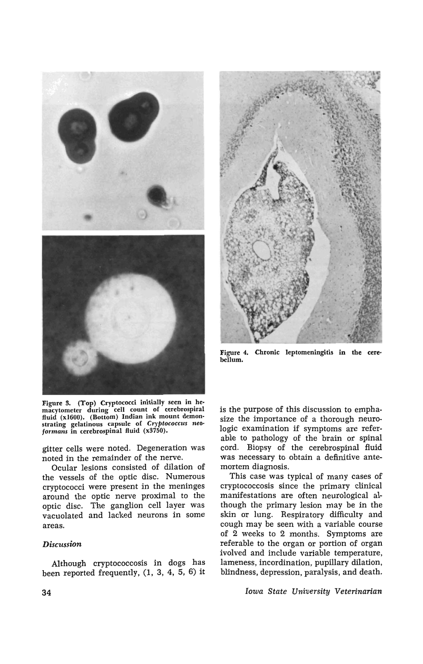



Figure 3. (Top) Cryptococci initially seen in he· macytometer during cell count of cerebrospiral fluid (xI600). (Bottom) Indian ink mount demonstrating gelatinous capsule of Cryptococcus neoformans in cerebrospinal fluid (x3750).

gitter cells were noted. Degeneration was noted in the remainder of the nerve.

Ocular lesions consisted of dilation of the vessels of the optic disc. Numerous cryptococci were present in the meninges around the optic nerve proximal to the optic disc. The ganglion cell layer was vacuolated and lacked neurons in some areas.

#### *Discussion*

Although cryptococcosis in dogs has been reported frequently, (1, 3, 4, 5, 6) it



Figure 4. Chronic leptomeningitis in the cere· bellum.

is the purpose of this discussion to emphasize the importance of a thorough neurologic examination if symptoms are referable to pathology of the brain or spinal cord. Biopsy of the cerebrospinal fluid was necessary to obtain a definitive antemortem diagnosis.

This case was typical of many cases of cryptococcosis since the primary clinical manifestations are often neurological although the primary lesion may be in the skin or lung. Respiratory difficulty and cough may be seen with a variable course of 2 weeks to 2 months. Symptoms are referable to the organ or portion of organ ivolved and include variable temperature, lameness, incordination, pupillary dilation, blindness, depression, paralysis, and death.

*Iowa State University Veterinarian*